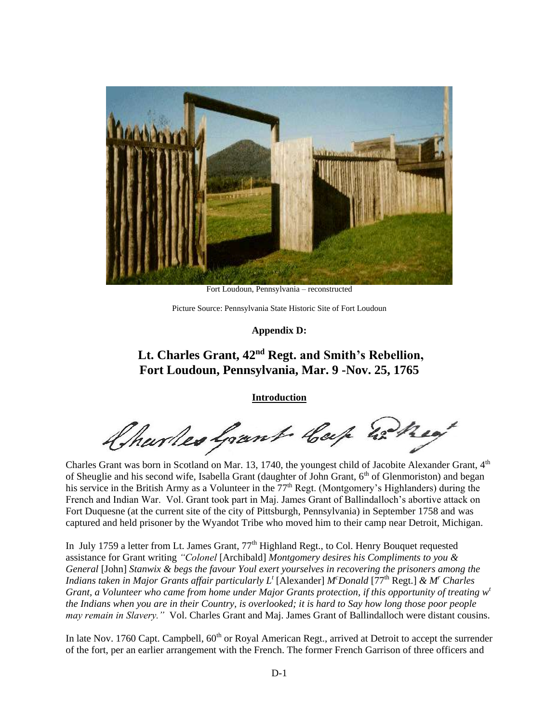

Fort Loudoun, Pennsylvania – reconstructed

Picture Source: Pennsylvania State Historic Site of Fort Loudoun

**Appendix D:**

# **Lt. Charles Grant, 42nd Regt. and Smith's Rebellion, Fort Loudoun, Pennsylvania, Mar. 9 -Nov. 25, 1765**

**Introduction**

Charles Grant Cap 22 hey

Charles Grant was born in Scotland on Mar. 13, 1740, the youngest child of Jacobite Alexander Grant, 4<sup>th</sup> of Sheuglie and his second wife, Isabella Grant (daughter of John Grant, 6<sup>th</sup> of Glenmoriston) and began his service in the British Army as a Volunteer in the 77<sup>th</sup> Regt. (Montgomery's Highlanders) during the French and Indian War. Vol. Grant took part in Maj. James Grant of Ballindalloch's abortive attack on Fort Duquesne (at the current site of the city of Pittsburgh, Pennsylvania) in September 1758 and was captured and held prisoner by the Wyandot Tribe who moved him to their camp near Detroit, Michigan.

In July 1759 a letter from Lt. James Grant, 77<sup>th</sup> Highland Regt., to Col. Henry Bouquet requested assistance for Grant writing *"Colonel* [Archibald] *Montgomery desires his Compliments to you & General* [John] *Stanwix & begs the favour Youl exert yourselves in recovering the prisoners among the Indians taken in Major Grants affair particularly L<sup>t</sup>* [Alexander] *M<sup>c</sup>Donald* [77th Regt.] *& M<sup>r</sup> Charles Grant, a Volunteer who came from home under Major Grants protection, if this opportunity of treating w<sup>t</sup> the Indians when you are in their Country, is overlooked; it is hard to Say how long those poor people may remain in Slavery."* Vol. Charles Grant and Maj. James Grant of Ballindalloch were distant cousins.

In late Nov. 1760 Capt. Campbell, 60<sup>th</sup> or Royal American Regt., arrived at Detroit to accept the surrender of the fort, per an earlier arrangement with the French. The former French Garrison of three officers and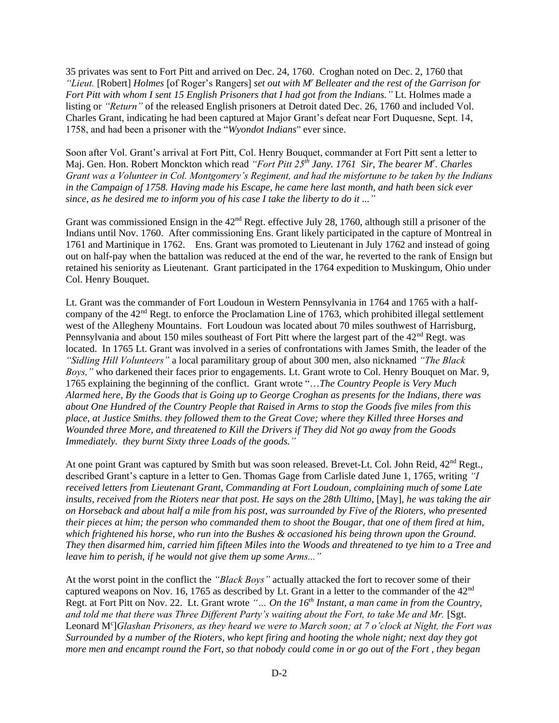35 privates was sent to Fort Pitt and arrived on Dec. 24, 1760. Croghan noted on Dec. 2, 1760 that *"Lieut.* [Robert] *Holmes* [of Roger's Rangers] *set out with M<sup>r</sup>Belleater and the rest of the Garrison for Fort Pitt with whom I sent 15 English Prisoners that I had got from the Indians."* Lt. Holmes made a listing or *"Return"* of the released English prisoners at Detroit dated Dec. 26, 1760 and included Vol. Charles Grant, indicating he had been captured at Major Grant's defeat near Fort Duquesne, Sept. 14, 1758, and had been a prisoner with the "*Wyondot Indians*" ever since.

Soon after Vol. Grant's arrival at Fort Pitt, Col. Henry Bouquet, commander at Fort Pitt sent a letter to Maj. Gen. Hon. Robert Monckton which read *"Fort Pitt 25th Jany. 1761 Sir, The bearer M<sup>r</sup> . Charles Grant was a Volunteer in Col. Montgomery's Regiment, and had the misfortune to be taken by the Indians in the Campaign of 1758. Having made his Escape, he came here last month, and hath been sick ever since, as he desired me to inform you of his case I take the liberty to do it ..."*

Grant was commissioned Ensign in the  $42<sup>nd</sup>$  Regt. effective July 28, 1760, although still a prisoner of the Indians until Nov. 1760. After commissioning Ens. Grant likely participated in the capture of Montreal in 1761 and Martinique in 1762. Ens. Grant was promoted to Lieutenant in July 1762 and instead of going out on half-pay when the battalion was reduced at the end of the war, he reverted to the rank of Ensign but retained his seniority as Lieutenant. Grant participated in the 1764 expedition to Muskingum, Ohio under Col. Henry Bouquet.

Lt. Grant was the commander of Fort Loudoun in Western Pennsylvania in 1764 and 1765 with a halfcompany of the 42nd Regt. to enforce the Proclamation Line of 1763, which prohibited illegal settlement west of the Allegheny Mountains. Fort Loudoun was located about 70 miles southwest of Harrisburg, Pennsylvania and about 150 miles southeast of Fort Pitt where the largest part of the  $42<sup>nd</sup>$  Regt. was located. In 1765 Lt. Grant was involved in a series of confrontations with James Smith, the leader of the *"Sidling Hill Volunteers"* a local paramilitary group of about 300 men, also nicknamed *"The Black Boys,"* who darkened their faces prior to engagements. Lt. Grant wrote to Col. Henry Bouquet on Mar. 9, 1765 explaining the beginning of the conflict. Grant wrote "…*The Country People is Very Much Alarmed here, By the Goods that is Going up to George Croghan as presents for the Indians, there was about One Hundred of the Country People that Raised in Arms to stop the Goods five miles from this place, at Justice Smiths. they followed them to the Great Cove; where they Killed three Horses and Wounded three More, and threatened to Kill the Drivers if They did Not go away from the Goods Immediately. they burnt Sixty three Loads of the goods."*

At one point Grant was captured by Smith but was soon released. Brevet-Lt. Col. John Reid, 42<sup>nd</sup> Regt., described Grant's capture in a letter to Gen. Thomas Gage from Carlisle dated June 1, 1765, writing *"I received letters from Lieutenant Grant, Commanding at Fort Loudoun, complaining much of some Late insults, received from the Rioters near that post. He says on the 28th Ultimo*, [May], *he was taking the air on Horseback and about half a mile from his post, was surrounded by Five of the Rioters, who presented their pieces at him; the person who commanded them to shoot the Bougar, that one of them fired at him, which frightened his horse, who run into the Bushes & occasioned his being thrown upon the Ground. They then disarmed him, carried him fifteen Miles into the Woods and threatened to tye him to a Tree and leave him to perish, if he would not give them up some Arms..."* 

At the worst point in the conflict the *"Black Boys"* actually attacked the fort to recover some of their captured weapons on Nov. 16, 1765 as described by Lt. Grant in a letter to the commander of the 42<sup>nd</sup> Regt. at Fort Pitt on Nov. 22. Lt. Grant wrote *"… On the 16th Instant, a man came in from the Country,*  and told me that there was Three Different Party's waiting about the Fort, to take Me and Mr. [Sgt.] Leonard M<sup>c</sup>]Glashan Prisoners, as they heard we were to March soon; at 7 o'clock at Night, the Fort was *Surrounded by a number of the Rioters, who kept firing and hooting the whole night; next day they got more men and encampt round the Fort, so that nobody could come in or go out of the Fort , they began*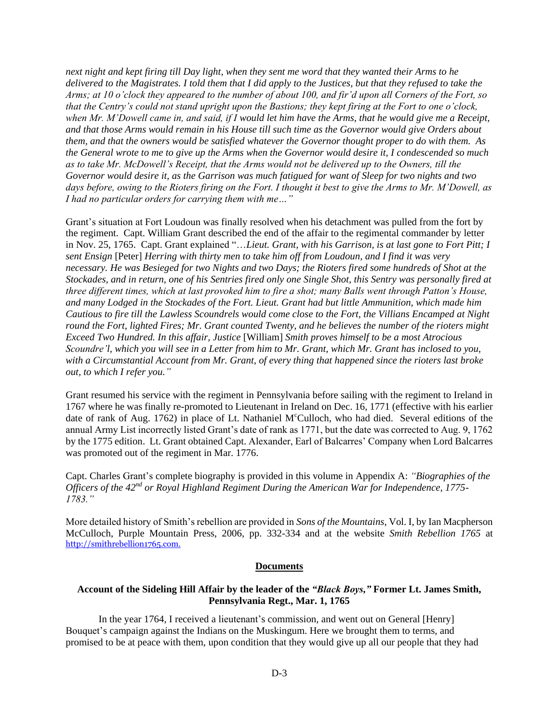*next night and kept firing till Day light, when they sent me word that they wanted their Arms to he delivered to the Magistrates. I told them that I did apply to the Justices, but that they refused to take the Arms; at 10 o'clock they appeared to the number of about 100, and fir'd upon all Corners of the Fort, so that the Centry's could not stand upright upon the Bastions; they kept firing at the Fort to one o'clock, when Mr. M'Dowell came in, and said, if I would let him have the Arms, that he would give me a Receipt, and that those Arms would remain in his House till such time as the Governor would give Orders about them, and that the owners would be satisfied whatever the Governor thought proper to do with them. As the General wrote to me to give up the Arms when the Governor would desire it, I condescended so much as to take Mr. McDowell's Receipt, that the Arms would not be delivered up to the Owners, till the Governor would desire it, as the Garrison was much fatigued for want of Sleep for two nights and two days before, owing to the Rioters firing on the Fort. I thought it best to give the Arms to Mr. M'Dowell, as I had no particular orders for carrying them with me…"*

Grant's situation at Fort Loudoun was finally resolved when his detachment was pulled from the fort by the regiment. Capt. William Grant described the end of the affair to the regimental commander by letter in Nov. 25, 1765. Capt. Grant explained "…*Lieut. Grant, with his Garrison, is at last gone to Fort Pitt; I sent Ensign* [Peter] *Herring with thirty men to take him off from Loudoun, and I find it was very necessary. He was Besieged for two Nights and two Days; the Rioters fired some hundreds of Shot at the Stockades, and in return, one of his Sentries fired only one Single Shot, this Sentry was personally fired at three different times, which at last provoked him to fire a shot; many Balls went through Patton's House, and many Lodged in the Stockades of the Fort. Lieut. Grant had but little Ammunition, which made him Cautious to fire till the Lawless Scoundrels would come close to the Fort, the Villians Encamped at Night round the Fort, lighted Fires; Mr. Grant counted Twenty, and he believes the number of the rioters might Exceed Two Hundred. In this affair, Justice* [William] *Smith proves himself to be a most Atrocious Scoundre'l, which you will see in a Letter from him to Mr. Grant, which Mr. Grant has inclosed to you, with a Circumstantial Account from Mr. Grant, of every thing that happened since the rioters last broke out, to which I refer you."* 

Grant resumed his service with the regiment in Pennsylvania before sailing with the regiment to Ireland in 1767 where he was finally re-promoted to Lieutenant in Ireland on Dec. 16, 1771 (effective with his earlier date of rank of Aug. 1762) in place of Lt. Nathaniel M<sup>c</sup>Culloch, who had died. Several editions of the annual Army List incorrectly listed Grant's date of rank as 1771, but the date was corrected to Aug. 9, 1762 by the 1775 edition. Lt. Grant obtained Capt. Alexander, Earl of Balcarres' Company when Lord Balcarres was promoted out of the regiment in Mar. 1776.

Capt. Charles Grant's complete biography is provided in this volume in Appendix A: *"Biographies of the Officers of the 42nd or Royal Highland Regiment During the American War for Independence, 1775- 1783."*

More detailed history of Smith's rebellion are provided in *Sons of the Mountains*, Vol. I, by Ian Macpherson McCulloch, Purple Mountain Press, 2006, pp. 332-334 and at the website *Smith Rebellion 1765* at [http://smithrebellion1765.com.](http://smithrebellion1765.com/)

### **Documents**

### **Account of the Sideling Hill Affair by the leader of the** *"Black Boys,"* **Former Lt. James Smith, Pennsylvania Regt., Mar. 1, 1765**

In the year 1764, I received a lieutenant's commission, and went out on General [Henry] Bouquet's campaign against the Indians on the Muskingum. Here we brought them to terms, and promised to be at peace with them, upon condition that they would give up all our people that they had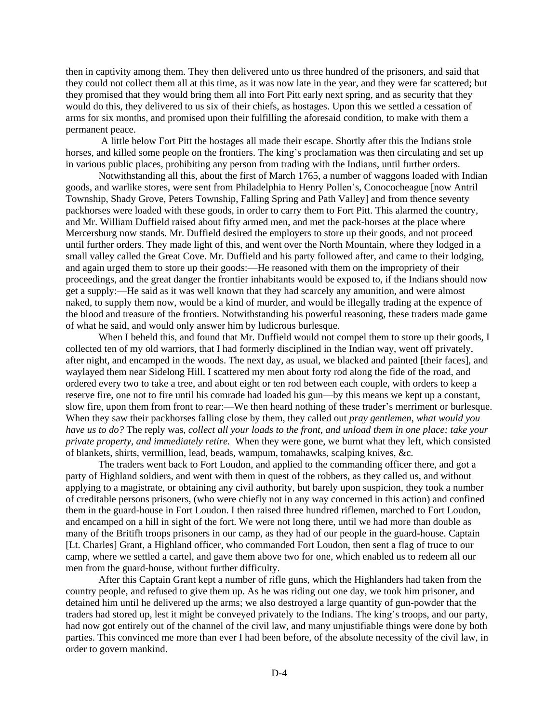then in captivity among them. They then delivered unto us three hundred of the prisoners, and said that they could not collect them all at this time, as it was now late in the year, and they were far scattered; but they promised that they would bring them all into Fort Pitt early next spring, and as security that they would do this, they delivered to us six of their chiefs, as hostages. Upon this we settled a cessation of arms for six months, and promised upon their fulfilling the aforesaid condition, to make with them a permanent peace.

A little below Fort Pitt the hostages all made their escape. Shortly after this the Indians stole horses, and killed some people on the frontiers. The king's proclamation was then circulating and set up in various public places, prohibiting any person from trading with the Indians, until further orders.

Notwithstanding all this, about the first of March 1765, a number of waggons loaded with Indian goods, and warlike stores, were sent from Philadelphia to Henry Pollen's, Conococheague [now Antril Township, Shady Grove, Peters Township, Falling Spring and Path Valley] and from thence seventy packhorses were loaded with these goods, in order to carry them to Fort Pitt. This alarmed the country, and Mr. William Duffield raised about fifty armed men, and met the pack-horses at the place where Mercersburg now stands. Mr. Duffield desired the employers to store up their goods, and not proceed until further orders. They made light of this, and went over the North Mountain, where they lodged in a small valley called the Great Cove. Mr. Duffield and his party followed after, and came to their lodging, and again urged them to store up their goods:—He reasoned with them on the impropriety of their proceedings, and the great danger the frontier inhabitants would be exposed to, if the Indians should now get a supply:—He said as it was well known that they had scarcely any amunition, and were almost naked, to supply them now, would be a kind of murder, and would be illegally trading at the expence of the blood and treasure of the frontiers. Notwithstanding his powerful reasoning, these traders made game of what he said, and would only answer him by ludicrous burlesque.

When I beheld this, and found that Mr. Duffield would not compel them to store up their goods, I collected ten of my old warriors, that I had formerly disciplined in the Indian way, went off privately, after night, and encamped in the woods. The next day, as usual, we blacked and painted [their faces], and waylayed them near Sidelong Hill. I scattered my men about forty rod along the fide of the road, and ordered every two to take a tree, and about eight or ten rod between each couple, with orders to keep a reserve fire, one not to fire until his comrade had loaded his gun—by this means we kept up a constant, slow fire, upon them from front to rear:—We then heard nothing of these trader's merriment or burlesque. When they saw their packhorses falling close by them, they called out *pray gentlemen, what would you have us to do?* The reply was, *collect all your loads to the front, and unload them in one place; take your private property, and immediately retire.* When they were gone, we burnt what they left, which consisted of blankets, shirts, vermillion, lead, beads, wampum, tomahawks, scalping knives, &c.

The traders went back to Fort Loudon, and applied to the commanding officer there, and got a party of Highland soldiers, and went with them in quest of the robbers, as they called us, and without applying to a magistrate, or obtaining any civil authority, but barely upon suspicion, they took a number of creditable persons prisoners, (who were chiefly not in any way concerned in this action) and confined them in the guard-house in Fort Loudon. I then raised three hundred riflemen, marched to Fort Loudon, and encamped on a hill in sight of the fort. We were not long there, until we had more than double as many of the Britifh troops prisoners in our camp, as they had of our people in the guard-house. Captain [Lt. Charles] Grant, a Highland officer, who commanded Fort Loudon, then sent a flag of truce to our camp, where we settled a cartel, and gave them above two for one, which enabled us to redeem all our men from the guard-house, without further difficulty.

After this Captain Grant kept a number of rifle guns, which the Highlanders had taken from the country people, and refused to give them up. As he was riding out one day, we took him prisoner, and detained him until he delivered up the arms; we also destroyed a large quantity of gun-powder that the traders had stored up, lest it might be conveyed privately to the Indians. The king's troops, and our party, had now got entirely out of the channel of the civil law, and many unjustifiable things were done by both parties. This convinced me more than ever I had been before, of the absolute necessity of the civil law, in order to govern mankind.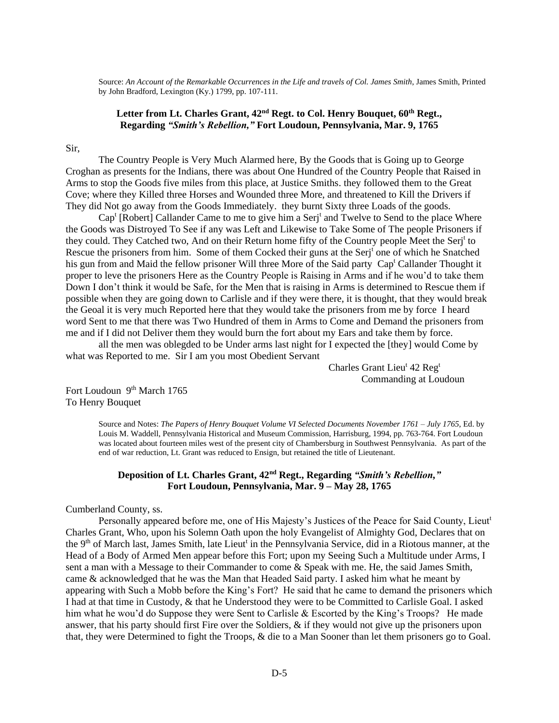Source: *An Account of the Remarkable Occurrences in the Life and travels of Col. James Smith*, James Smith, Printed by John Bradford, Lexington (Ky.) 1799, pp. 107-111.

# **Letter from Lt. Charles Grant, 42nd Regt. to Col. Henry Bouquet, 60th Regt., Regarding** *"Smith's Rebellion,"* **Fort Loudoun, Pennsylvania, Mar. 9, 1765**

Sir,

The Country People is Very Much Alarmed here, By the Goods that is Going up to George Croghan as presents for the Indians, there was about One Hundred of the Country People that Raised in Arms to stop the Goods five miles from this place, at Justice Smiths. they followed them to the Great Cove; where they Killed three Horses and Wounded three More, and threatened to Kill the Drivers if They did Not go away from the Goods Immediately. they burnt Sixty three Loads of the goods.

Cap<sup>t</sup> [Robert] Callander Came to me to give him a Serj<sup>t</sup> and Twelve to Send to the place Where the Goods was Distroyed To See if any was Left and Likewise to Take Some of The people Prisoners if they could. They Catched two, And on their Return home fifty of the Country people Meet the Serjt to Rescue the prisoners from him. Some of them Cocked their guns at the Serj<sup>t</sup> one of which he Snatched his gun from and Maid the fellow prisoner Will three More of the Said party Cap<sup>t</sup> Callander Thought it proper to leve the prisoners Here as the Country People is Raising in Arms and if he wou'd to take them Down I don't think it would be Safe, for the Men that is raising in Arms is determined to Rescue them if possible when they are going down to Carlisle and if they were there, it is thought, that they would break the Geoal it is very much Reported here that they would take the prisoners from me by force I heard word Sent to me that there was Two Hundred of them in Arms to Come and Demand the prisoners from me and if I did not Deliver them they would burn the fort about my Ears and take them by force.

all the men was oblegded to be Under arms last night for I expected the [they] would Come by what was Reported to me. Sir I am you most Obedient Servant

> Charles Grant Lieu<sup>t</sup> 42 Reg<sup>t</sup> Commanding at Loudoun

Fort Loudoun 9<sup>th</sup> March 1765 To Henry Bouquet

> Source and Notes: *The Papers of Henry Bouquet Volume VI Selected Documents November 1761 – July 1765*, Ed. by Louis M. Waddell, Pennsylvania Historical and Museum Commission, Harrisburg, 1994, pp. 763-764. Fort Loudoun was located about fourteen miles west of the present city of Chambersburg in Southwest Pennsylvania. As part of the end of war reduction, Lt. Grant was reduced to Ensign, but retained the title of Lieutenant.

# **Deposition of Lt. Charles Grant, 42nd Regt., Regarding** *"Smith's Rebellion,"* **Fort Loudoun, Pennsylvania, Mar. 9 – May 28, 1765**

#### Cumberland County, ss.

Personally appeared before me, one of His Majesty's Justices of the Peace for Said County, Lieut<sup>t</sup> Charles Grant, Who, upon his Solemn Oath upon the holy Evangelist of Almighty God, Declares that on the 9<sup>th</sup> of March last, James Smith, late Lieut<sup>t</sup> in the Pennsylvania Service, did in a Riotous manner, at the Head of a Body of Armed Men appear before this Fort; upon my Seeing Such a Multitude under Arms, I sent a man with a Message to their Commander to come & Speak with me. He, the said James Smith, came & acknowledged that he was the Man that Headed Said party. I asked him what he meant by appearing with Such a Mobb before the King's Fort? He said that he came to demand the prisoners which I had at that time in Custody, & that he Understood they were to be Committed to Carlisle Goal. I asked him what he wou'd do Suppose they were Sent to Carlisle & Escorted by the King's Troops? He made answer, that his party should first Fire over the Soldiers,  $\&$  if they would not give up the prisoners upon that, they were Determined to fight the Troops, & die to a Man Sooner than let them prisoners go to Goal.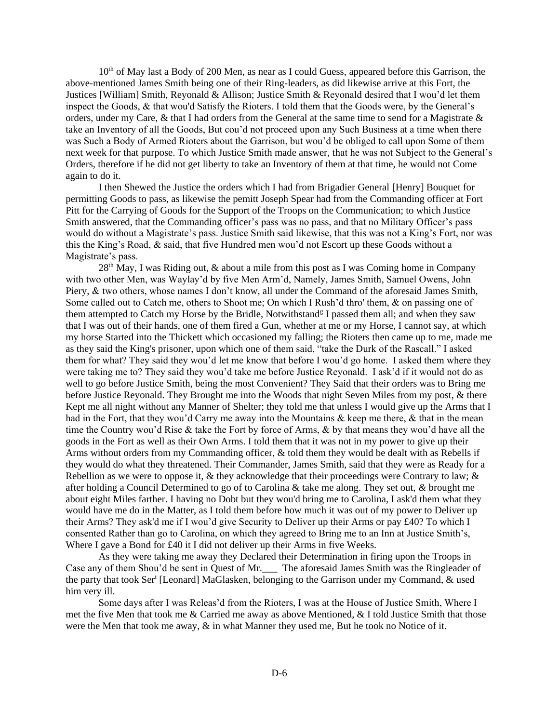$10<sup>th</sup>$  of May last a Body of 200 Men, as near as I could Guess, appeared before this Garrison, the above-mentioned James Smith being one of their Ring-leaders, as did likewise arrive at this Fort, the Justices [William] Smith, Reyonald & Allison; Justice Smith & Reyonald desired that I wou'd let them inspect the Goods, & that wou'd Satisfy the Rioters. I told them that the Goods were, by the General's orders, under my Care, & that I had orders from the General at the same time to send for a Magistrate & take an Inventory of all the Goods, But cou'd not proceed upon any Such Business at a time when there was Such a Body of Armed Rioters about the Garrison, but wou'd be obliged to call upon Some of them next week for that purpose. To which Justice Smith made answer, that he was not Subject to the General's Orders, therefore if he did not get liberty to take an Inventory of them at that time, he would not Come again to do it.

I then Shewed the Justice the orders which I had from Brigadier General [Henry] Bouquet for permitting Goods to pass, as likewise the pemitt Joseph Spear had from the Commanding officer at Fort Pitt for the Carrying of Goods for the Support of the Troops on the Communication; to which Justice Smith answered, that the Commanding officer's pass was no pass, and that no Military Officer's pass would do without a Magistrate's pass. Justice Smith said likewise, that this was not a King's Fort, nor was this the King's Road, & said, that five Hundred men wou'd not Escort up these Goods without a Magistrate's pass.

 $28<sup>th</sup>$  May, I was Riding out, & about a mile from this post as I was Coming home in Company with two other Men, was Waylay'd by five Men Arm'd, Namely, James Smith, Samuel Owens, John Piery, & two others, whose names I don't know, all under the Command of the aforesaid James Smith, Some called out to Catch me, others to Shoot me; On which I Rush'd thro' them, & on passing one of them attempted to Catch my Horse by the Bridle, Notwithstand<sup>g</sup> I passed them all; and when they saw that I was out of their hands, one of them fired a Gun, whether at me or my Horse, I cannot say, at which my horse Started into the Thickett which occasioned my falling; the Rioters then came up to me, made me as they said the King's prisoner, upon which one of them said, "take the Durk of the Rascall." I asked them for what? They said they wou'd let me know that before I wou'd go home. I asked them where they were taking me to? They said they wou'd take me before Justice Reyonald. I ask'd if it would not do as well to go before Justice Smith, being the most Convenient? They Said that their orders was to Bring me before Justice Reyonald. They Brought me into the Woods that night Seven Miles from my post, & there Kept me all night without any Manner of Shelter; they told me that unless I would give up the Arms that I had in the Fort, that they wou'd Carry me away into the Mountains & keep me there, & that in the mean time the Country wou'd Rise & take the Fort by force of Arms, & by that means they wou'd have all the goods in the Fort as well as their Own Arms. I told them that it was not in my power to give up their Arms without orders from my Commanding officer, & told them they would be dealt with as Rebells if they would do what they threatened. Their Commander, James Smith, said that they were as Ready for a Rebellion as we were to oppose it,  $\&$  they acknowledge that their proceedings were Contrary to law;  $\&$ after holding a Council Determined to go of to Carolina & take me along. They set out, *&* brought me about eight Miles farther. I having no Dobt but they wou'd bring me to Carolina, I ask'd them what they would have me do in the Matter, as I told them before how much it was out of my power to Deliver up their Arms? They ask'd me if I wou'd give Security to Deliver up their Arms or pay £40? To which I consented Rather than go to Carolina, on which they agreed to Bring me to an Inn at Justice Smith's, Where I gave a Bond for £40 it I did not deliver up their Arms in five Weeks.

As they were taking me away they Declared their Determination in firing upon the Troops in Case any of them Shou'd be sent in Quest of Mr. The aforesaid James Smith was the Ringleader of the party that took Ser<sup>t</sup> [Leonard] MaGlasken, belonging to the Garrison under my Command, & used him very ill.

Some days after I was Releas'd from the Rioters, I was at the House of Justice Smith, Where I met the five Men that took me & Carried me away as above Mentioned, & I told Justice Smith that those were the Men that took me away,  $\&$  in what Manner they used me, But he took no Notice of it.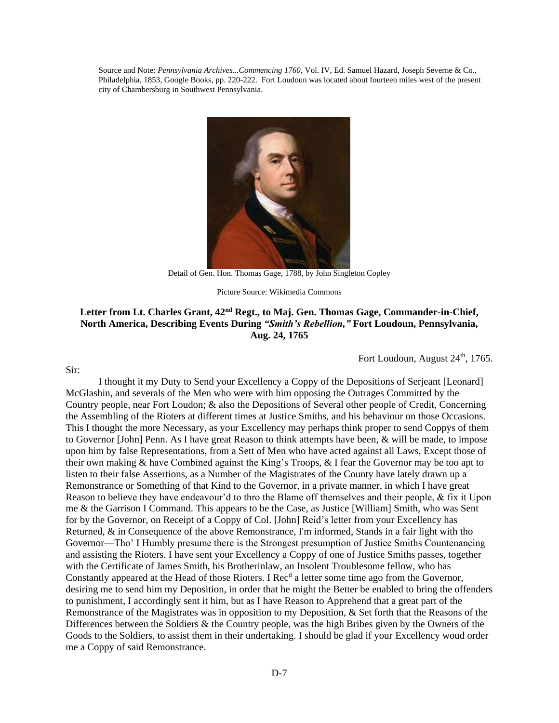Source and Note: *Pennsylvania Archives...Commencing 1760*, Vol. IV, Ed. Samuel Hazard, Joseph Severne & Co., Philadelphia, 1853, Google Books, pp. 220-222. Fort Loudoun was located about fourteen miles west of the present city of Chambersburg in Southwest Pennsylvania.



Detail of Gen. Hon. Thomas Gage, 1788, by John Singleton Copley

Picture Source: Wikimedia Commons

# **Letter from Lt. Charles Grant, 42nd Regt., to Maj. Gen. Thomas Gage, Commander-in-Chief, North America, Describing Events During** *"Smith's Rebellion,"* **Fort Loudoun, Pennsylvania, Aug. 24, 1765**

Fort Loudoun, August 24<sup>th</sup>, 1765.

I thought it my Duty to Send your Excellency a Coppy of the Depositions of Serjeant [Leonard] McGlashin, and severals of the Men who were with him opposing the Outrages Committed by the Country people, near Fort Loudon; & also the Depositions of Several other people of Credit, Concerning the Assembling of the Rioters at different times at Justice Smiths, and his behaviour on those Occasions. This I thought the more Necessary, as your Excellency may perhaps think proper to send Coppys of them to Governor [John] Penn. As I have great Reason to think attempts have been, & will be made, to impose upon him by false Representations, from a Sett of Men who have acted against all Laws, Except those of their own making & have Combined against the King's Troops, & I fear the Governor may be too apt to listen to their false Assertions, as a Number of the Magistrates of the County have lately drawn up a Remonstrance or Something of that Kind to the Governor, in a private manner, in which I have great Reason to believe they have endeavour'd to thro the Blame off themselves and their people, & fix it Upon me & the Garrison I Command. This appears to be the Case, as Justice [William] Smith, who was Sent for by the Governor, on Receipt of a Coppy of Col. [John] Reid's letter from your Excellency has Returned, & in Consequence of the above Remonstrance, I'm informed, Stands in a fair light with tho Governor—Tho' I Humbly presume there is the Strongest presumption of Justice Smiths Countenancing and assisting the Rioters. I have sent your Excellency a Coppy of one of Justice Smiths passes, together with the Certificate of James Smith, his Brotherinlaw, an Insolent Troublesome fellow, who has Constantly appeared at the Head of those Rioters. I Rec<sup>d</sup> a letter some time ago from the Governor, desiring me to send him my Deposition, in order that he might the Better be enabled to bring the offenders to punishment, I accordingly sent it him, but as I have Reason to Apprehend that a great part of the Remonstrance of the Magistrates was in opposition to my Deposition, & Set forth that the Reasons of the Differences between the Soldiers & the Country people, was the high Bribes given by the Owners of the Goods to the Soldiers, to assist them in their undertaking. I should be glad if your Excellency woud order me a Coppy of said Remonstrance.

Sir: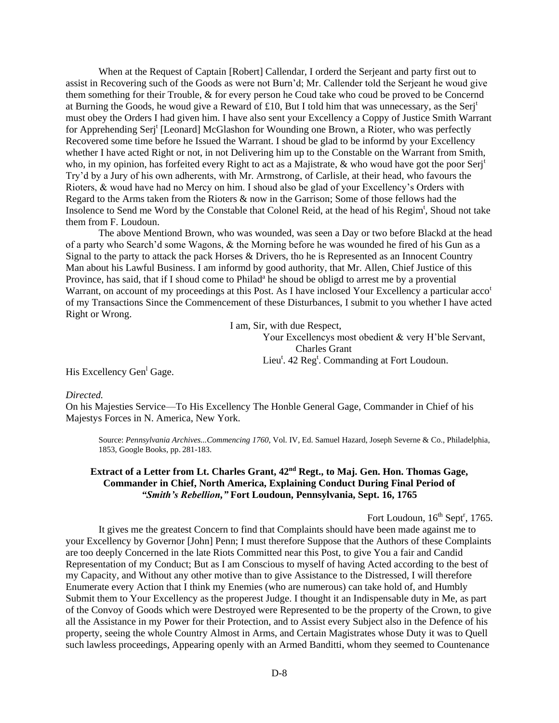When at the Request of Captain [Robert] Callendar, I orderd the Serjeant and party first out to assist in Recovering such of the Goods as were not Burn'd; Mr. Callender told the Serjeant he woud give them something for their Trouble, & for every person he Coud take who coud be proved to be Concernd at Burning the Goods, he woud give a Reward of £10, But I told him that was unnecessary, as the Serj<sup>t</sup> must obey the Orders I had given him. I have also sent your Excellency a Coppy of Justice Smith Warrant for Apprehending Serj<sup>t</sup> [Leonard] McGlashon for Wounding one Brown, a Rioter, who was perfectly Recovered some time before he Issued the Warrant. I shoud be glad to be informd by your Excellency whether I have acted Right or not, in not Delivering him up to the Constable on the Warrant from Smith, who, in my opinion, has forfeited every Right to act as a Majistrate, & who woud have got the poor Serj<sup>t</sup> Try'd by a Jury of his own adherents, with Mr. Armstrong, of Carlisle, at their head, who favours the Rioters, & woud have had no Mercy on him. I shoud also be glad of your Excellency's Orders with Regard to the Arms taken from the Rioters & now in the Garrison; Some of those fellows had the Insolence to Send me Word by the Constable that Colonel Reid, at the head of his Regim<sup>t</sup>, Shoud not take them from F. Loudoun.

The above Mentiond Brown, who was wounded, was seen a Day or two before Blackd at the head of a party who Search'd some Wagons, & the Morning before he was wounded he fired of his Gun as a Signal to the party to attack the pack Horses & Drivers, tho he is Represented as an Innocent Country Man about his Lawful Business. I am informd by good authority, that Mr. Allen, Chief Justice of this Province, has said, that if I shoud come to Philad<sup>a</sup> he shoud be obligd to arrest me by a provential Warrant, on account of my proceedings at this Post. As I have inclosed Your Excellency a particular acco<sup>t</sup> of my Transactions Since the Commencement of these Disturbances, I submit to you whether I have acted Right or Wrong.

I am, Sir, with due Respect,

Your Excellencys most obedient & very H'ble Servant, Charles Grant Lieu<sup>t</sup>. 42 Reg<sup>t</sup>. Commanding at Fort Loudoun.

His Excellency Gen<sup>1</sup> Gage.

#### *Directed.*

On his Majesties Service—To His Excellency The Honble General Gage, Commander in Chief of his Majestys Forces in N. America, New York.

Source: *Pennsylvania Archives...Commencing 1760*, Vol. IV, Ed. Samuel Hazard, Joseph Severne & Co., Philadelphia, 1853, Google Books, pp. 281-183.

# **Extract of a Letter from Lt. Charles Grant, 42nd Regt., to Maj. Gen. Hon. Thomas Gage, Commander in Chief, North America, Explaining Conduct During Final Period of**  *"Smith's Rebellion,"* **Fort Loudoun, Pennsylvania, Sept. 16, 1765**

Fort Loudoun,  $16<sup>th</sup>$  Sept<sup>r</sup>, 1765.

It gives me the greatest Concern to find that Complaints should have been made against me to your Excellency by Governor [John] Penn; I must therefore Suppose that the Authors of these Complaints are too deeply Concerned in the late Riots Committed near this Post, to give You a fair and Candid Representation of my Conduct; But as I am Conscious to myself of having Acted according to the best of my Capacity, and Without any other motive than to give Assistance to the Distressed, I will therefore Enumerate every Action that I think my Enemies (who are numerous) can take hold of, and Humbly Submit them to Your Excellency as the properest Judge. I thought it an Indispensable duty in Me, as part of the Convoy of Goods which were Destroyed were Represented to be the property of the Crown, to give all the Assistance in my Power for their Protection, and to Assist every Subject also in the Defence of his property, seeing the whole Country Almost in Arms, and Certain Magistrates whose Duty it was to Quell such lawless proceedings, Appearing openly with an Armed Banditti, whom they seemed to Countenance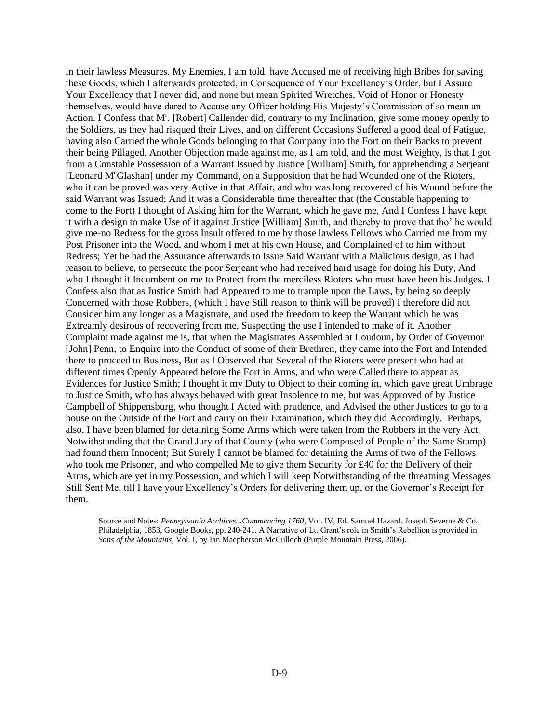in their lawless Measures. My Enemies, I am told, have Accused me of receiving high Bribes for saving these Goods, which I afterwards protected, in Consequence of Your Excellency's Order, but I Assure Your Excellency that I never did, and none but mean Spirited Wretches, Void of Honor or Honesty themselves, would have dared to Accuse any Officer holding His Majesty's Commission of so mean an Action. I Confess that M<sup>r</sup>. [Robert] Callender did, contrary to my Inclination, give some money openly to the Soldiers, as they had risqued their Lives, and on different Occasions Suffered a good deal of Fatigue, having also Carried the whole Goods belonging to that Company into the Fort on their Backs to prevent their being Pillaged. Another Objection made against me, as I am told, and the most Weighty, is that I got from a Constable Possession of a Warrant Issued by Justice [William] Smith, for apprehending a Serjeant [Leonard M°Glashan] under my Command, on a Supposition that he had Wounded one of the Rioters, who it can be proved was very Active in that Affair, and who was long recovered of his Wound before the said Warrant was Issued; And it was a Considerable time thereafter that (the Constable happening to come to the Fort) I thought of Asking him for the Warrant, which he gave me, And I Confess I have kept it with a design to make Use of it against Justice [William] Smith, and thereby to prove that tho' he would give me-no Redress for the gross Insult offered to me by those lawless Fellows who Carried me from my Post Prisoner into the Wood, and whom I met at his own House, and Complained of to him without Redress; Yet he had the Assurance afterwards to Issue Said Warrant with a Malicious design, as I had reason to believe, to persecute the poor Serjeant who had received hard usage for doing his Duty, And who I thought it Incumbent on me to Protect from the merciless Rioters who must have been his Judges. I Confess also that as Justice Smith had Appeared to me to trample upon the Laws, by being so deeply Concerned with those Robbers, (which I have Still reason to think will be proved) I therefore did not Consider him any longer as a Magistrate, and used the freedom to keep the Warrant which he was Extreamly desirous of recovering from me, Suspecting the use I intended to make of it. Another Complaint made against me is, that when the Magistrates Assembled at Loudoun, by Order of Governor [John] Penn, to Enquire into the Conduct of some of their Brethren, they came into the Fort and Intended there to proceed to Business, But as I Observed that Several of the Rioters were present who had at different times Openly Appeared before the Fort in Arms, and who were Called there to appear as Evidences for Justice Smith; I thought it my Duty to Object to their coming in, which gave great Umbrage to Justice Smith, who has always behaved with great Insolence to me, but was Approved of by Justice Campbell of Shippensburg, who thought I Acted with prudence, and Advised the other Justices to go to a house on the Outside of the Fort and carry on their Examination, which they did Accordingly. Perhaps, also, I have been blamed for detaining Some Arms which were taken from the Robbers in the very Act, Notwithstanding that the Grand Jury of that County (who were Composed of People of the Same Stamp) had found them Innocent; But Surely I cannot be blamed for detaining the Arms of two of the Fellows who took me Prisoner, and who compelled Me to give them Security for £40 for the Delivery of their Arms, which are yet in my Possession, and which I will keep Notwithstanding of the threatning Messages Still Sent Me, till I have your Excellency's Orders for delivering them up, or the Governor's Receipt for them.

Source and Notes: *Pennsylvania Archives...Commencing 1760*, Vol. IV, Ed. Samuel Hazard, Joseph Severne & Co., Philadelphia, 1853, Google Books, pp. 240-241. A Narrative of Lt. Grant's role in Smith's Rebellion is provided in *Sons of the Mountains*, Vol. I, by Ian Macpherson McCulloch (Purple Mountain Press, 2006).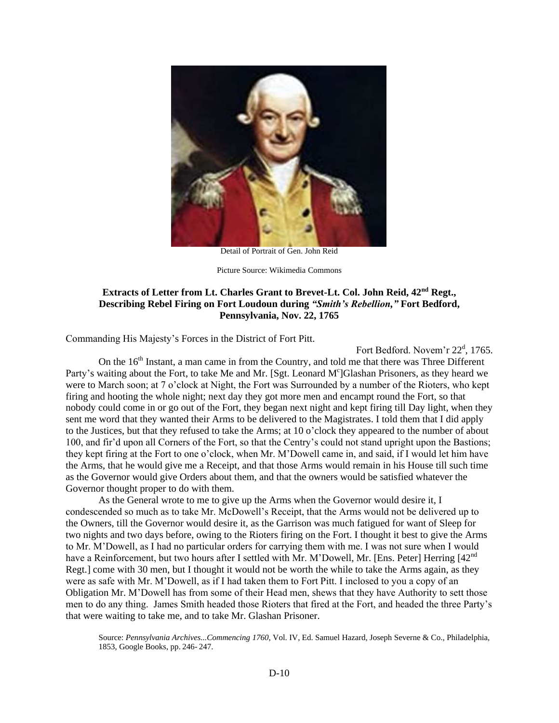

Detail of Portrait of Gen. John Reid

Picture Source: Wikimedia Commons

# **Extracts of Letter from Lt. Charles Grant to Brevet-Lt. Col. John Reid, 42nd Regt., Describing Rebel Firing on Fort Loudoun during** *"Smith's Rebellion,"* **Fort Bedford, Pennsylvania, Nov. 22, 1765**

Commanding His Majesty's Forces in the District of Fort Pitt.

Fort Bedford. Novem'r 22<sup>d</sup>, 1765. On the 16<sup>th</sup> Instant, a man came in from the Country, and told me that there was Three Different Party's waiting about the Fort, to take Me and Mr. [Sgt. Leonard M°]Glashan Prisoners, as they heard we were to March soon; at 7 o'clock at Night, the Fort was Surrounded by a number of the Rioters, who kept firing and hooting the whole night; next day they got more men and encampt round the Fort, so that nobody could come in or go out of the Fort, they began next night and kept firing till Day light, when they sent me word that they wanted their Arms to be delivered to the Magistrates. I told them that I did apply to the Justices, but that they refused to take the Arms; at 10 o'clock they appeared to the number of about 100, and fir'd upon all Corners of the Fort, so that the Centry's could not stand upright upon the Bastions; they kept firing at the Fort to one o'clock, when Mr. M'Dowell came in, and said, if I would let him have the Arms, that he would give me a Receipt, and that those Arms would remain in his House till such time as the Governor would give Orders about them, and that the owners would be satisfied whatever the Governor thought proper to do with them.

As the General wrote to me to give up the Arms when the Governor would desire it, I condescended so much as to take Mr. McDowell's Receipt, that the Arms would not be delivered up to the Owners, till the Governor would desire it, as the Garrison was much fatigued for want of Sleep for two nights and two days before, owing to the Rioters firing on the Fort. I thought it best to give the Arms to Mr. M'Dowell, as I had no particular orders for carrying them with me. I was not sure when I would have a Reinforcement, but two hours after I settled with Mr. M'Dowell, Mr. [Ens. Peter] Herring [42<sup>nd</sup> Regt.] come with 30 men, but I thought it would not be worth the while to take the Arms again, as they were as safe with Mr. M'Dowell, as if I had taken them to Fort Pitt. I inclosed to you a copy of an Obligation Mr. M'Dowell has from some of their Head men, shews that they have Authority to sett those men to do any thing. James Smith headed those Rioters that fired at the Fort, and headed the three Party's that were waiting to take me, and to take Mr. Glashan Prisoner.

Source: *Pennsylvania Archives...Commencing 1760*, Vol. IV, Ed. Samuel Hazard, Joseph Severne & Co., Philadelphia, 1853, Google Books, pp. 246- 247.